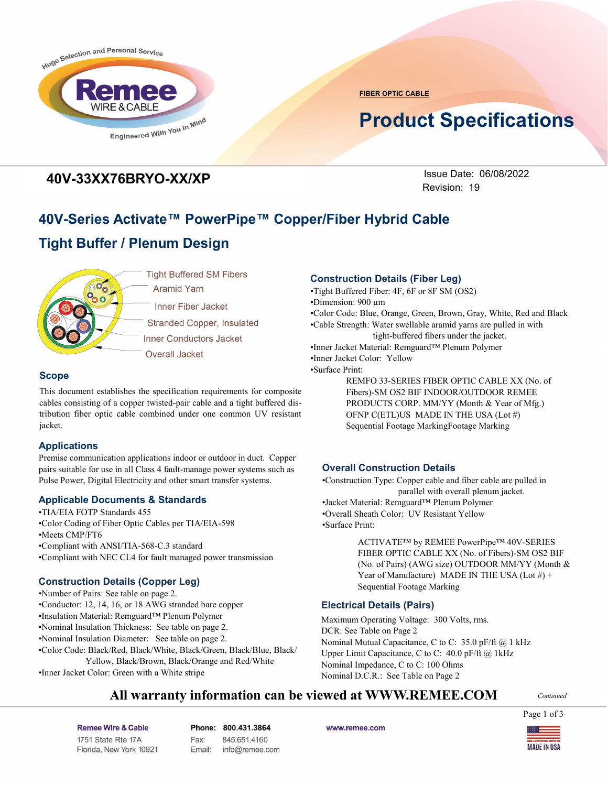

**FIBER OPTIC CABLE**

# **Product Specifications**

## **40V-33XX76BRYO-XX/XP** Issue Date: 06/08/2022

Revision: 19

# **40V-Series Activate™ PowerPipe™ Copper/Fiber Hybrid Cable Tight Buffer / Plenum Design**



**Tight Buffered SM Fibers Aramid Yarn** Inner Fiber Jacket **Stranded Copper, Insulated Inner Conductors Jacket Overall Jacket** 

### **Scope**

This document establishes the specification requirements for composite cables consisting of a copper twisted-pair cable and a tight buffered distribution fiber optic cable combined under one common UV resistant jacket.

### **Applications**

Premise communication applications indoor or outdoor in duct. Copper pairs suitable for use in all Class 4 fault-manage power systems such as Pulse Power, Digital Electricity and other smart transfer systems.

### **Applicable Documents & Standards**

•TIA/EIA FOTP Standards 455 •Color Coding of Fiber Optic Cables per TIA/EIA-598 •Meets CMP/FT6 •Compliant with ANSI/TIA-568-C.3 standard •Compliant with NEC CL4 for fault managed power transmission

### **Construction Details (Copper Leg)**

•Number of Pairs: See table on page 2. •Conductor: 12, 14, 16, or 18 AWG stranded bare copper •Insulation Material: Remguard™ Plenum Polymer •Nominal Insulation Thickness: See table on page 2. •Nominal Insulation Diameter: See table on page 2. •Color Code: Black/Red, Black/White, Black/Green, Black/Blue, Black/ Yellow, Black/Brown, Black/Orange and Red/White •Inner Jacket Color: Green with a White stripe

### **Construction Details (Fiber Leg)**

•Tight Buffered Fiber: 4F, 6F or 8F SM (OS2) •Dimension: 900 µm •Color Code: Blue, Orange, Green, Brown, Gray, White, Red and Black •Cable Strength: Water swellable aramid yarns are pulled in with tight-buffered fibers under the jacket. •Inner Jacket Material: Remguard™ Plenum Polymer •Inner Jacket Color: Yellow •Surface Print:

REMFO 33-SERIES FIBER OPTIC CABLE XX (No. of Fibers)-SM OS2 BIF INDOOR/OUTDOOR REMEE PRODUCTS CORP. MM/YY (Month & Year of Mfg.) OFNP C(ETL)US MADE IN THE USA (Lot #) Sequential Footage MarkingFootage Marking

### **Overall Construction Details**

•Construction Type: Copper cable and fiber cable are pulled in parallel with overall plenum jacket. •Jacket Material: Remguard™ Plenum Polymer •Overall Sheath Color: UV Resistant Yellow •Surface Print:

> ACTIVATE™ by REMEE PowerPipe™ 40V-SERIES FIBER OPTIC CABLE XX (No. of Fibers)-SM OS2 BIF (No. of Pairs) (AWG size) OUTDOOR MM/YY (Month & Year of Manufacture) MADE IN THE USA  $(Lot \#)+$ Sequential Footage Marking

### **Electrical Details (Pairs)**

Maximum Operating Voltage: 300 Volts, rms. DCR: See Table on Page 2 Nominal Mutual Capacitance, C to C: 35.0 pF/ft @ 1 kHz Upper Limit Capacitance, C to C: 40.0 pF/ft @ 1kHz Nominal Impedance, C to C: 100 Ohms Nominal D.C.R.: See Table on Page 2

### **All warranty information can be viewed at WWW.REMEE.COM**

*Continued*

Remee Wire & Cable Issue No.: 05 Florida, New York 10921 Phone: 800.431.3864 Fax: 845.651.4160 Email: info@remee.com www.remee.com

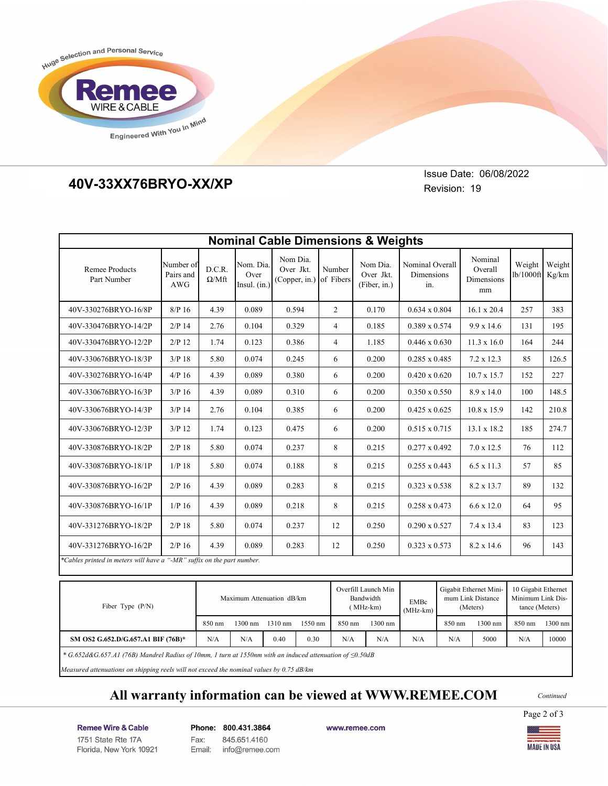

### Revision: 19 **40V-33XX76BRYO-XX/XP**

Issue Date: 06/08/2022

| <b>Nominal Cable Dimensions &amp; Weights</b>                                                                  |                               |                           |                                   |                                                  |         |                |                                                |                                             |                                                         |                                        |                                                            |                 |
|----------------------------------------------------------------------------------------------------------------|-------------------------------|---------------------------|-----------------------------------|--------------------------------------------------|---------|----------------|------------------------------------------------|---------------------------------------------|---------------------------------------------------------|----------------------------------------|------------------------------------------------------------|-----------------|
| <b>Remee Products</b><br>Part Number                                                                           | Number of<br>Pairs and<br>AWG | D.C.R.<br>$\Omega/Mft$    | Nom. Dia.<br>Over<br>Insul. (in.) | Nom Dia.<br>Over Jkt.<br>(Copper, in.) of Fibers |         | Number         | Nom Dia.<br>Over Jkt.<br>(Fiber, in.)          | Nominal Overall<br><b>Dimensions</b><br>in. |                                                         | Nominal<br>Overall<br>Dimensions<br>mm | Weight<br>lb/1000ft                                        | Weight<br>Kg/km |
| 40V-330276BRYO-16/8P                                                                                           | $8/P$ 16                      | 4.39                      | 0.089                             | 0.594                                            |         | $\overline{2}$ | 0.170                                          | $0.634 \times 0.804$                        |                                                         | 16.1 x 20.4                            | 257                                                        | 383             |
| 40V-330476BRYO-14/2P                                                                                           | $2/P$ 14                      | 2.76                      | 0.104                             | 0.329                                            |         | 4              | 0.185                                          | $0.389 \times 0.574$                        |                                                         | $9.9 \times 14.6$                      | 131                                                        | 195             |
| 40V-330476BRYO-12/2P                                                                                           | $2/P$ 12                      | 1.74                      | 0.123                             | 0.386                                            |         | $\overline{4}$ | 1.185                                          | $0.446 \times 0.630$                        |                                                         | $11.3 \times 16.0$                     | 164                                                        | 244             |
| 40V-330676BRYO-18/3P                                                                                           | $3/P$ 18                      | 5.80                      | 0.074                             | 0.245                                            |         | 6              | 0.200                                          | $0.285 \times 0.485$                        |                                                         | $7.2 \times 12.3$                      | 85                                                         | 126.5           |
| 40V-330276BRYO-16/4P                                                                                           | $4/P$ 16                      | 4.39                      | 0.089                             | 0.380                                            |         | 6              | 0.200                                          | $0.420 \times 0.620$                        |                                                         | $10.7 \times 15.7$                     | 152                                                        | 227             |
| 40V-330676BRYO-16/3P                                                                                           | $3/P$ 16                      | 4.39                      | 0.089                             | 0.310                                            |         | 6              | 0.200                                          | $0.350 \times 0.550$                        |                                                         | $8.9 \times 14.0$                      | 100                                                        | 148.5           |
| 40V-330676BRYO-14/3P                                                                                           | $3/P$ 14                      | 2.76                      | 0.104                             | 0.385                                            |         | 6              | 0.200                                          | $0.425 \times 0.625$                        |                                                         | $10.8 \times 15.9$                     | 142                                                        | 210.8           |
| 40V-330676BRYO-12/3P                                                                                           | $3/P$ 12                      | 1.74                      | 0.123                             | 0.475                                            |         | 6              | 0.200                                          | $0.515 \times 0.715$                        |                                                         | $13.1 \times 18.2$                     | 185                                                        | 274.7           |
| 40V-330876BRYO-18/2P                                                                                           | $2/P$ 18                      | 5.80                      | 0.074                             | 0.237                                            |         | 8              | 0.215                                          | $0.277 \times 0.492$                        |                                                         | $7.0 \times 12.5$                      | 76                                                         | 112             |
| 40V-330876BRYO-18/1P                                                                                           | $1/P$ 18                      | 5.80                      | 0.074                             | 0.188                                            |         | 8              | 0.215                                          | $0.255 \times 0.443$                        |                                                         | $6.5 \times 11.3$                      | 57                                                         | 85              |
| 40V-330876BRYO-16/2P                                                                                           | $2/P$ 16                      | 4.39                      | 0.089                             | 0.283                                            |         | 8              | 0.215                                          | $0.323 \times 0.538$                        |                                                         | 8.2 x 13.7                             | 89                                                         | 132             |
| 40V-330876BRYO-16/1P                                                                                           | $1/P$ 16                      | 4.39                      | 0.089                             | 0.218                                            |         | 8              | 0.215                                          | $0.258 \times 0.473$                        |                                                         | $6.6 \times 12.0$                      | 64                                                         | 95              |
| 40V-331276BRYO-18/2P                                                                                           | $2/P$ 18                      | 5.80                      | 0.074                             | 0.237                                            |         | 12<br>0.250    |                                                | $0.290 \times 0.527$                        |                                                         | 7.4 x 13.4                             | 83                                                         | 123             |
| 40V-331276BRYO-16/2P                                                                                           | $2/P$ 16                      | 4.39                      | 0.089                             | 0.283                                            |         | 12             | 0.250                                          | $0.323 \times 0.573$                        |                                                         | $8.2 \times 14.6$                      | 96                                                         | 143             |
| *Cables printed in meters will have a "-MR" suffix on the part number.                                         |                               |                           |                                   |                                                  |         |                |                                                |                                             |                                                         |                                        |                                                            |                 |
| Fiber Type (P/N)                                                                                               |                               | Maximum Attenuation dB/km |                                   |                                                  |         |                | Overfill Launch Min<br>Bandwidth<br>$(MHz-km)$ | EMBc<br>$(MHz-km)$                          | Gigabit Ethernet Mini-<br>mum Link Distance<br>(Meters) |                                        | 10 Gigabit Ethernet<br>Minimum Link Dis-<br>tance (Meters) |                 |
|                                                                                                                |                               | 850 nm                    | 1300 nm 1310 nm                   |                                                  | 1550 nm | 850 nm         | 1300 nm                                        |                                             | 850 nm                                                  | 1300 nm                                | 850 nm                                                     | 1300 nm         |
| SM OS2 G.652.D/G.657.A1 BIF (76B)*                                                                             |                               | N/A                       | N/A                               | 0.40                                             | 0.30    | N/A            | N/A                                            | N/A                                         | N/A                                                     | 5000                                   | N/A                                                        | 10000           |
| * G.652d&G.657.A1 (76B) Mandrel Radius of 10mm, 1 turn at 1550nm with an induced attenuation of $\leq 0.50$ dB |                               |                           |                                   |                                                  |         |                |                                                |                                             |                                                         |                                        |                                                            |                 |

*Measured attenuations on shipping reels will not exceed the nominal values by 0.75 dB/km*

# **All warranty information can be viewed at WWW.REMEE.COM**

*Continued*

Page 2 of 3

Remee Wire & Cable Issue No.: 05 Florida, New York 10921 Phone: 800.431.3864 Fax: 845.651.4160 info@remee.com Email:

www.remee.com